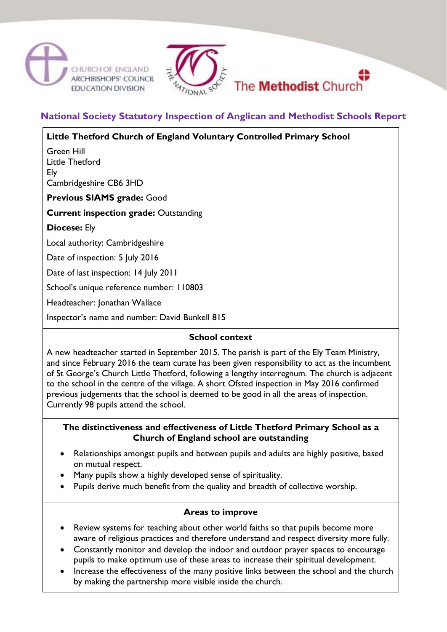



# **National Society Statutory Inspection of Anglican and Methodist Schools Report**

**Little Thetford Church of England Voluntary Controlled Primary School**

Green Hill Little Thetford Ely Cambridgeshire CB6 3HD

**Previous SIAMS grade:** Good

**Current inspection grade:** Outstanding

**Diocese:** Ely

Local authority: Cambridgeshire

Date of inspection: 5 July 2016

Date of last inspection: 14 July 2011

School's unique reference number: 110803

Headteacher: Jonathan Wallace

Inspector's name and number: David Bunkell 815

#### **School context**

A new headteacher started in September 2015. The parish is part of the Ely Team Ministry, and since February 2016 the team curate has been given responsibility to act as the incumbent of St George's Church Little Thetford, following a lengthy interregnum. The church is adjacent to the school in the centre of the village. A short Ofsted inspection in May 2016 confirmed previous judgements that the school is deemed to be good in all the areas of inspection. Currently 98 pupils attend the school.

#### **The distinctiveness and effectiveness of Little Thetford Primary School as a Church of England school are outstanding**

- Relationships amongst pupils and between pupils and adults are highly positive, based on mutual respect.
- Many pupils show a highly developed sense of spirituality.
- Pupils derive much benefit from the quality and breadth of collective worship.

### **Areas to improve**

- Review systems for teaching about other world faiths so that pupils become more aware of religious practices and therefore understand and respect diversity more fully.
- Constantly monitor and develop the indoor and outdoor prayer spaces to encourage pupils to make optimum use of these areas to increase their spiritual development.
- Increase the effectiveness of the many positive links between the school and the church by making the partnership more visible inside the church.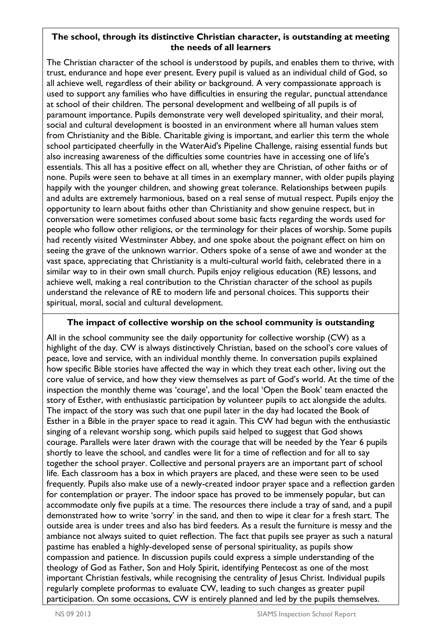### **The school, through its distinctive Christian character, is outstanding at meeting the needs of all learners**

The Christian character of the school is understood by pupils, and enables them to thrive, with trust, endurance and hope ever present. Every pupil is valued as an individual child of God, so all achieve well, regardless of their ability or background. A very compassionate approach is used to support any families who have difficulties in ensuring the regular, punctual attendance at school of their children. The personal development and wellbeing of all pupils is of paramount importance. Pupils demonstrate very well developed spirituality, and their moral, social and cultural development is boosted in an environment where all human values stem from Christianity and the Bible. Charitable giving is important, and earlier this term the whole school participated cheerfully in the WaterAid's Pipeline Challenge, raising essential funds but also increasing awareness of the difficulties some countries have in accessing one of life's essentials. This all has a positive effect on all, whether they are Christian, of other faiths or of none. Pupils were seen to behave at all times in an exemplary manner, with older pupils playing happily with the younger children, and showing great tolerance. Relationships between pupils and adults are extremely harmonious, based on a real sense of mutual respect. Pupils enjoy the opportunity to learn about faiths other than Christianity and show genuine respect, but in conversation were sometimes confused about some basic facts regarding the words used for people who follow other religions, or the terminology for their places of worship. Some pupils had recently visited Westminster Abbey, and one spoke about the poignant effect on him on seeing the grave of the unknown warrior. Others spoke of a sense of awe and wonder at the vast space, appreciating that Christianity is a multi-cultural world faith, celebrated there in a similar way to in their own small church. Pupils enjoy religious education (RE) lessons, and achieve well, making a real contribution to the Christian character of the school as pupils understand the relevance of RE to modern life and personal choices. This supports their spiritual, moral, social and cultural development.

### **The impact of collective worship on the school community is outstanding**

All in the school community see the daily opportunity for collective worship (CW) as a highlight of the day. CW is always distinctively Christian, based on the school's core values of peace, love and service, with an individual monthly theme. In conversation pupils explained how specific Bible stories have affected the way in which they treat each other, living out the core value of service, and how they view themselves as part of God's world. At the time of the inspection the monthly theme was 'courage', and the local 'Open the Book' team enacted the story of Esther, with enthusiastic participation by volunteer pupils to act alongside the adults. The impact of the story was such that one pupil later in the day had located the Book of Esther in a Bible in the prayer space to read it again. This CW had begun with the enthusiastic singing of a relevant worship song, which pupils said helped to suggest that God shows courage. Parallels were later drawn with the courage that will be needed by the Year 6 pupils shortly to leave the school, and candles were lit for a time of reflection and for all to say together the school prayer. Collective and personal prayers are an important part of school life. Each classroom has a box in which prayers are placed, and these were seen to be used frequently. Pupils also make use of a newly-created indoor prayer space and a reflection garden for contemplation or prayer. The indoor space has proved to be immensely popular, but can accommodate only five pupils at a time. The resources there include a tray of sand, and a pupil demonstrated how to write 'sorry' in the sand, and then to wipe it clear for a fresh start. The outside area is under trees and also has bird feeders. As a result the furniture is messy and the ambiance not always suited to quiet reflection. The fact that pupils see prayer as such a natural pastime has enabled a highly-developed sense of personal spirituality, as pupils show compassion and patience. In discussion pupils could express a simple understanding of the theology of God as Father, Son and Holy Spirit, identifying Pentecost as one of the most important Christian festivals, while recognising the centrality of Jesus Christ. Individual pupils regularly complete proformas to evaluate CW, leading to such changes as greater pupil participation. On some occasions, CW is entirely planned and led by the pupils themselves.